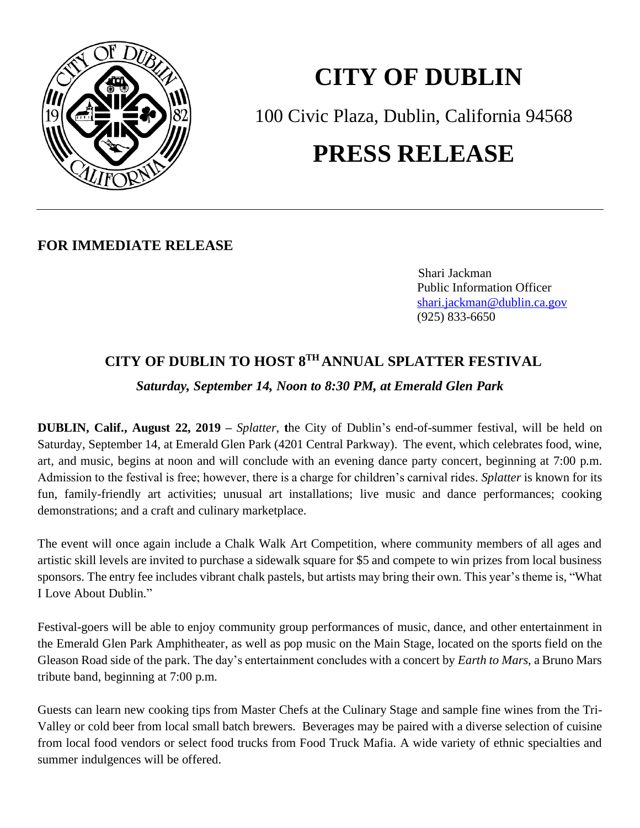

## **CITY OF DUBLIN** 100 Civic Plaza, Dublin, California 94568 **PRESS RELEASE**

## **FOR IMMEDIATE RELEASE**

 Shari Jackman Public Information Officer <shari.jackman@dublin.ca.gov> (925) 833-6650

## **CITY OF DUBLIN TO HOST 8 TH ANNUAL SPLATTER FESTIVAL**

*Saturday, September 14, Noon to 8:30 PM, at Emerald Glen Park*

**DUBLIN, Calif., August 22, 2019 –** *Splatter*, **t**he City of Dublin's end-of-summer festival, will be held on Saturday, September 14, at Emerald Glen Park (4201 Central Parkway). The event, which celebrates food, wine, art, and music, begins at noon and will conclude with an evening dance party concert, beginning at 7:00 p.m. Admission to the festival is free; however, there is a charge for children's carnival rides. *Splatter* is known for its fun, family-friendly art activities; unusual art installations; live music and dance performances; cooking demonstrations; and a craft and culinary marketplace.

The event will once again include a Chalk Walk Art Competition, where community members of all ages and artistic skill levels are invited to purchase a sidewalk square for \$5 and compete to win prizes from local business sponsors. The entry fee includes vibrant chalk pastels, but artists may bring their own. This year's theme is, "What I Love About Dublin."

Festival-goers will be able to enjoy community group performances of music, dance, and other entertainment in the Emerald Glen Park Amphitheater, as well as pop music on the Main Stage, located on the sports field on the Gleason Road side of the park. The day's entertainment concludes with a concert by *Earth to Mars*, a Bruno Mars tribute band, beginning at 7:00 p.m.

Guests can learn new cooking tips from Master Chefs at the Culinary Stage and sample fine wines from the Tri-Valley or cold beer from local small batch brewers. Beverages may be paired with a diverse selection of cuisine from local food vendors or select food trucks from Food Truck Mafia. A wide variety of ethnic specialties and summer indulgences will be offered.